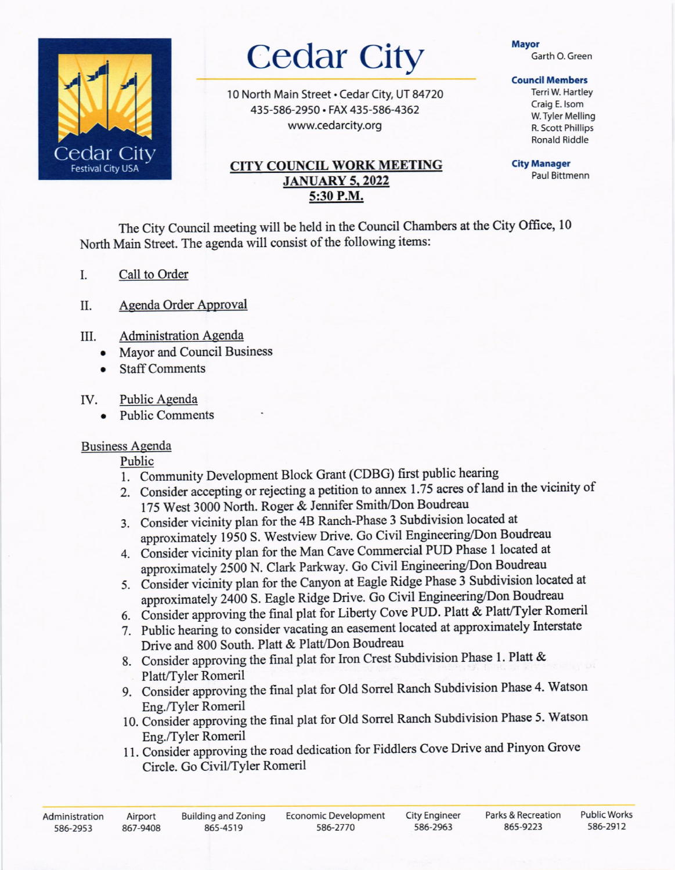

# Cedar City

10 North Main Street . Cedar City, UT 84720 435-58G2950. FAX 435-586-4362 www.cedarcity.org

## Festival City USA **CITY COUNCIL WORK MEETING JANUARY 5, 2022** 5:30 P.M.

Garth O. Green

### Council Members

Terri W. Hartley Craig E.lsom W.Tyler Melling R. Scott Phillips Ronald Riddle

Paul Bittmenn

The City Council meeting will be held in the Council Chambers at the City Office, l0 North Main Street. The agenda will consist of the following items:

- I. Call to Order
- II. Agenda Order Approval
- III. Administration Agenda
	- . Mayor and Council Business
	- **Staff Comments**

# IV. Public Agenda

**Public Comments** 

# **Business Agenda**

Public

- 1. Community Development Block Grant (CDBG) first public hearing
- 2. Consider accepting or rejecting a petition to annex 1.75 acres of land in the vicinity of <sup>175</sup>West 3000 North. Roger & Jennifer Smith/Don Boudreau
- 3. Consider vicinity plan for the 48 Ranch-Phase 3 Subdivision located at approximately 1950 S. Westview Drive. Go Civil Engineering/Don Boudreau
- 4. Consider vicinity plan for the Man Cave Commercial PUD Phase 1 located at approximately 2500 N. Clark Parkway. Go Civil Enginecring/Don Boudreau
- 5. Consider vicinity plan for the Canyon at Eagle Ridge Phase 3 Subdivision located at approximately 2400 S. Eagle Ridge Drive. Go Civil Engineering/Don Boudreau
- 6. Consider approving the final plat for Liberty Cove PUD. Platt & Platt/Tyler Romeril
- 7. Public hearing to consider vacating an easement located at approximately Interstate Drive and 800 South. Platt & Platt/Don Boudreau
- 8. Consider approving the final plat for Iron Crest Subdivision Phase 1. Platt & Platt/Tyler Romeril
- 9. Consider approving the final plat for Old Sorrel Ranch Subdivision Phase 4. Watson Eng./Tyler Romeril
- 10. Consider approving the final plat for Old Sorrel Ranch Subdivision Phase 5. Watson Eng./Tyler Romeril
- 11. Consider approving the road dedication for Fiddlers Cove Drive and Pinyon Grove Circle. Go CiviUTYler Romeril

Administration 586-2953

Economic Development 546-2770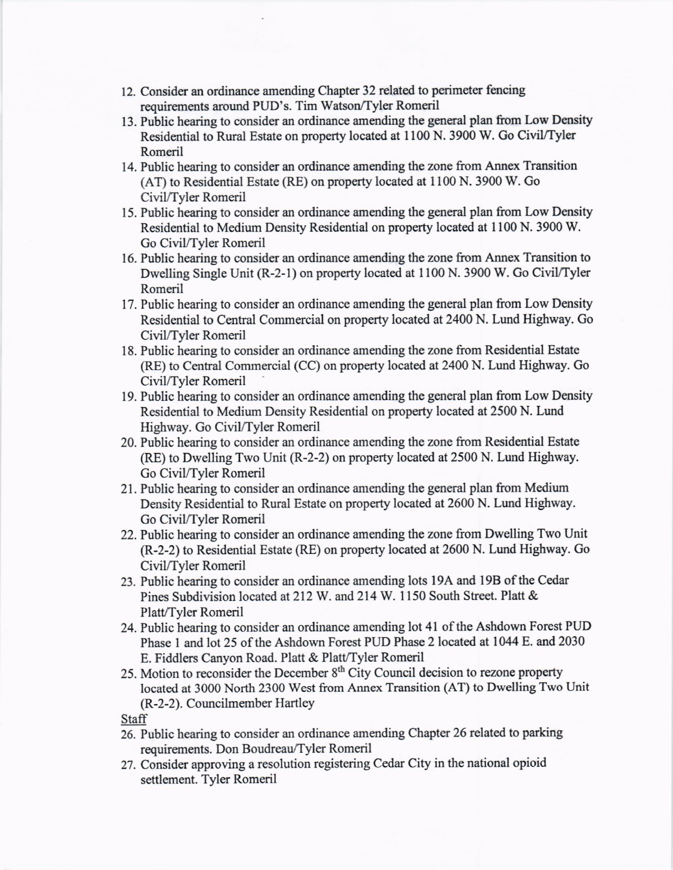- 12. Consider an ordinance amending Chapter 32 related to perimeter fencing requirements around PUD's. Tim Watson/Tyler Romeril
- 13. Public hearing to consider an ordinance amending the general plan from Low Density Residential to Rural Estate on property located at 1100 N. 3900 W. Go CiviVTyler Romeril
- 14. Public hearing to consider an ordinance amending the zone from Annex Transition (AT) to Residential Estate (RE) on property located at I100 N. 3900 W. Go CiviVTyler Romeril
- 15. Public hearing to consider an ordinance amending the general plan from Low Density Residential to Medium Density Residential on property located at I 100 N. 3900 W. Go CiviVTyler Romeril
- 16. Public hearing to consider an ordinance amending the zone from Annex Transition to Dwelling Single Unit (R-2-1) on property located at 1100 N. 3900 W. Go Civil/Tyler Romeril
- 17. Public hearing to consider an ordinance amending the general plan from Low Density Residential to Central Commercial on property located at 2400 N. Lund Highway. Go CiviVTyler Romeril
- 18. Public hearing to consider an ordinance amending the zone from Residential Estate (RE) to Central Commercial (CC) on property located at 2400 N. Lund Highway. Go CiviVTyler Romeril
- 19. Public hearing to consider an ordinance amending the general plan from Low Density Residential to Medium Density Residential on property located at 2500 N. Lund Highway. Go Civil/Tyler Romeril
- 20. Public hearing to consider an ordinance amending the zone from Residential Estate (RE) to Dwelling Two Unit (R-2-2) on property located at 2500 N. Lund Highway. Go CiviVTyler Romeril
- 21. Public hearing to consider an ordinance amending the general plan from Medium Density Residential to Rural Estate on property located at 2600 N. Lund Highway. Go CiviVTyler Romeril
- 22. Public hearing to consider an ordinance amending the zone from Dwelling Two Unit (R-2-2) to Residential Estate (RE) on propsrty located at 2600 N. Lund Highway. Go CiviUTyler Romeril
- 23. Public hearing to consider an ordinance amending lots 19A and 19B of the Cedar Pines Subdivision located at 212 W. and 214 W. 1150 South Street. Platt & Platt/Tyler Romeril
- 24. Public hearing to consider an ordinance amending lot 41 of the Ashdown Forest PUD Phase 1 and lot 25 of the Ashdown Forest PUD Phase 2 located at 1044 E. and 2030 E. Fiddlers Canyon Road. Platt & Platt/Tyler Romeril
- 25. Motion to reconsider the December 8<sup>th</sup> City Council decision to rezone property located at 3000 North 2300 West from Annex Transition (AT) to Dwelling Two Unit (R-2-2). Councilmember Hartley

**Staff** 

- 26. Public hearing to consider an ordinance amending Chapter 26 related to parking requirements. Don Boudreau/Tyler Romeril
- 27. Consider approving a resolution registering Cedar City in the national opioid settlement. Tyler Romeril